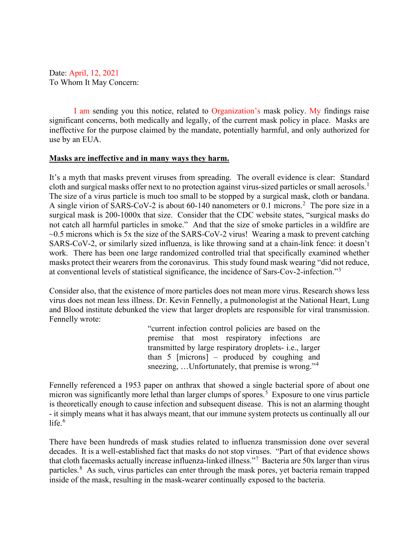Date: April, 12, 2021 To Whom It May Concern:

I am sending you this notice, related to Organization's mask policy. My findings raise significant concerns, both medically and legally, of the current mask policy in place. Masks are ineffective for the purpose claimed by the mandate, potentially harmful, and only authorized for use by an EUA.

## **Masks are ineffective and in many ways they harm.**

It's a myth that masks prevent viruses from spreading. The overall evidence is clear: Standard cloth and surgical masks offer next to no protection against virus-sized particles or small aerosols.<sup>[1](#page-4-0)</sup> The size of a virus particle is much too small to be stopped by a surgical mask, cloth or bandana. A single virion of SARS-CoV-[2](#page-4-1) is about 60-140 nanometers or 0.1 microns.<sup>2</sup> The pore size in a surgical mask is 200-1000x that size. Consider that the CDC website states, "surgical masks do not catch all harmful particles in smoke." And that the size of smoke particles in a wildfire are  $\sim$ 0.5 microns which is 5x the size of the SARS-CoV-2 virus! Wearing a mask to prevent catching SARS-CoV-2, or similarly sized influenza, is like throwing sand at a chain-link fence: it doesn't work. There has been one large randomized controlled trial that specifically examined whether masks protect their wearers from the coronavirus. This study found mask wearing "did not reduce, at conventional levels of statistical significance, the incidence of Sars-Cov-2-infection."[3](#page-4-2)

Consider also, that the existence of more particles does not mean more virus. Research shows less virus does not mean less illness. Dr. Kevin Fennelly, a pulmonologist at the National Heart, Lung and Blood institute debunked the view that larger droplets are responsible for viral transmission. Fennelly wrote:

> "current infection control policies are based on the premise that most respiratory infections are transmitted by large respiratory droplets- i.e., larger than 5 [microns] – produced by coughing and sneezing, ...Unfortunately, that premise is wrong."<sup>[4](#page-4-3)</sup>

Fennelly referenced a 1953 paper on anthrax that showed a single bacterial spore of about one micron was significantly more lethal than larger clumps of spores.<sup>[5](#page-4-4)</sup> Exposure to one virus particle is theoretically enough to cause infection and subsequent disease. This is not an alarming thought - it simply means what it has always meant, that our immune system protects us continually all our life $<sup>6</sup>$  $<sup>6</sup>$  $<sup>6</sup>$ </sup>

There have been hundreds of mask studies related to influenza transmission done over several decades. It is a well-established fact that masks do not stop viruses. "Part of that evidence shows that cloth facemasks actually increase influenza-linked illness."[7](#page-4-6) Bacteria are 50x larger than virus particles.<sup>[8](#page-4-7)</sup> As such, virus particles can enter through the mask pores, yet bacteria remain trapped inside of the mask, resulting in the mask-wearer continually exposed to the bacteria.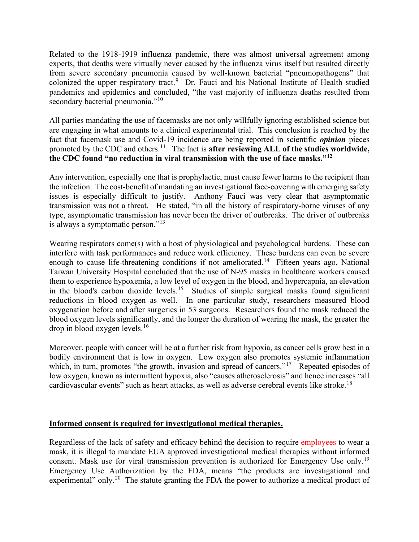Related to the 1918-1919 influenza pandemic, there was almost universal agreement among experts, that deaths were virtually never caused by the influenza virus itself but resulted directly from severe secondary pneumonia caused by well-known bacterial "pneumopathogens" that colonized the upper respiratory tract.<sup>[9](#page-4-8)</sup> Dr. Fauci and his National Institute of Health studied pandemics and epidemics and concluded, "the vast majority of influenza deaths resulted from secondary bacterial pneumonia."<sup>[10](#page-4-9)</sup>

All parties mandating the use of facemasks are not only willfully ignoring established science but are engaging in what amounts to a clinical experimental trial. This conclusion is reached by the fact that facemask use and Covid-19 incidence are being reported in scientific *opinion* pieces promoted by the CDC and others.<sup>[11](#page-4-10)</sup> The fact is **after reviewing ALL of the studies worldwide**, **the CDC found "no reduction in viral transmission with the use of face masks."[12](#page-4-11)**

Any intervention, especially one that is prophylactic, must cause fewer harms to the recipient than the infection. The cost-benefit of mandating an investigational face-covering with emerging safety issues is especially difficult to justify. Anthony Fauci was very clear that asymptomatic transmission was not a threat. He stated, "in all the history of respiratory-borne viruses of any type, asymptomatic transmission has never been the driver of outbreaks. The driver of outbreaks is always a symptomatic person."<sup>[13](#page-4-12)</sup>

Wearing respirators come(s) with a host of physiological and psychological burdens. These can interfere with task performances and reduce work efficiency. These burdens can even be severe enough to cause life-threatening conditions if not ameliorated.<sup>[14](#page-4-13)</sup> Fifteen years ago, National Taiwan University Hospital concluded that the use of N-95 masks in healthcare workers caused them to experience hypoxemia, a low level of oxygen in the blood, and hypercapnia, an elevation in the blood's carbon dioxide levels.<sup>[15](#page-4-14)</sup> Studies of simple surgical masks found significant reductions in blood oxygen as well. In one particular study, researchers measured blood oxygenation before and after surgeries in 53 surgeons. Researchers found the mask reduced the blood oxygen levels significantly, and the longer the duration of wearing the mask, the greater the  $drop$  in blood oxygen levels.<sup>[16](#page-4-15)</sup>

Moreover, people with cancer will be at a further risk from hypoxia, as cancer cells grow best in a bodily environment that is low in oxygen. Low oxygen also promotes systemic inflammation which, in turn, promotes "the growth, invasion and spread of cancers."<sup>[17](#page-4-16)</sup> Repeated episodes of low oxygen, known as intermittent hypoxia, also "causes atherosclerosis" and hence increases "all cardiovascular events" such as heart attacks, as well as adverse cerebral events like stroke.<sup>18</sup>

## **Informed consent is required for investigational medical therapies.**

Regardless of the lack of safety and efficacy behind the decision to require employees to wear a mask, it is illegal to mandate EUA approved investigational medical therapies without informed consent. Mask use for viral transmission prevention is authorized for Emergency Use only.[19](#page-4-18) Emergency Use Authorization by the FDA, means "the products are investigational and experimental" only.<sup>[20](#page-4-19)</sup> The statute granting the FDA the power to authorize a medical product of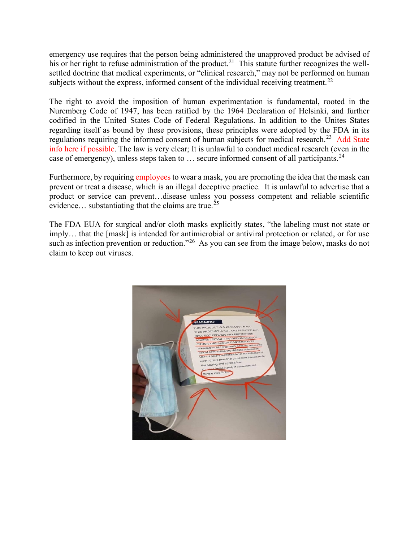emergency use requires that the person being administered the unapproved product be advised of his or her right to refuse administration of the product.<sup>[21](#page-4-20)</sup> This statute further recognizes the wellsettled doctrine that medical experiments, or "clinical research," may not be performed on human subjects without the express, informed consent of the individual receiving treatment.<sup>[22](#page-4-21)</sup>

The right to avoid the imposition of human experimentation is fundamental, rooted in the Nuremberg Code of 1947, has been ratified by the 1964 Declaration of Helsinki, and further codified in the United States Code of Federal Regulations. In addition to the Unites States regarding itself as bound by these provisions, these principles were adopted by the FDA in its regulations requiring the informed consent of human subjects for medical research.<sup>[23](#page-4-22)</sup> Add State info here if possible. The law is very clear; It is unlawful to conduct medical research (even in the case of emergency), unless steps taken to  $\ldots$  secure informed consent of all participants.<sup>[24](#page-4-23)</sup>

Furthermore, by requiring employees to wear a mask, you are promoting the idea that the mask can prevent or treat a disease, which is an illegal deceptive practice. It is unlawful to advertise that a product or service can prevent…disease unless you possess competent and reliable scientific evidence... substantiating that the claims are true.<sup>[25](#page-4-24)</sup>

The FDA EUA for surgical and/or cloth masks explicitly states, "the labeling must not state or imply… that the [mask] is intended for antimicrobial or antiviral protection or related, or for use such as infection prevention or reduction."<sup>26</sup> As you can see from the image below, masks do not claim to keep out viruses.

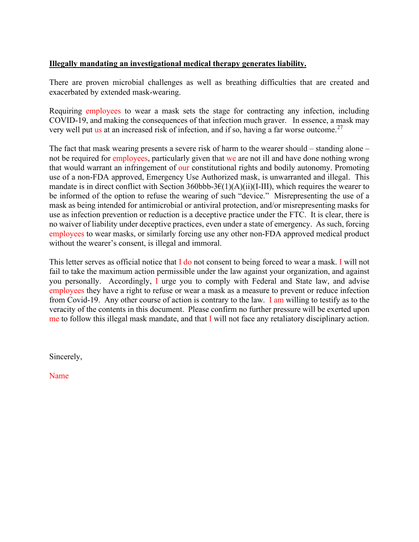## **Illegally mandating an investigational medical therapy generates liability.**

There are proven microbial challenges as well as breathing difficulties that are created and exacerbated by extended mask-wearing.

Requiring employees to wear a mask sets the stage for contracting any infection, including COVID-19, and making the consequences of that infection much graver. In essence, a mask may very well put us at an increased risk of infection, and if so, having a far worse outcome.[27](#page-4-26)

The fact that mask wearing presents a severe risk of harm to the wearer should – standing alone – not be required for employees, particularly given that we are not ill and have done nothing wrong that would warrant an infringement of our constitutional rights and bodily autonomy. Promoting use of a non-FDA approved, Emergency Use Authorized mask, is unwarranted and illegal. This mandate is in direct conflict with Section 360bbb-3 $\mathcal{E}(1)(A)(ii)(I-III)$ , which requires the wearer to be informed of the option to refuse the wearing of such "device." Misrepresenting the use of a mask as being intended for antimicrobial or antiviral protection, and/or misrepresenting masks for use as infection prevention or reduction is a deceptive practice under the FTC. It is clear, there is no waiver of liability under deceptive practices, even under a state of emergency. As such, forcing employees to wear masks, or similarly forcing use any other non-FDA approved medical product without the wearer's consent, is illegal and immoral.

This letter serves as official notice that  $I$  do not consent to being forced to wear a mask. I will not fail to take the maximum action permissible under the law against your organization, and against you personally. Accordingly, I urge you to comply with Federal and State law, and advise employees they have a right to refuse or wear a mask as a measure to prevent or reduce infection from Covid-19. Any other course of action is contrary to the law. I am willing to testify as to the veracity of the contents in this document. Please confirm no further pressure will be exerted upon me to follow this illegal mask mandate, and that I will not face any retaliatory disciplinary action.

Sincerely,

Name